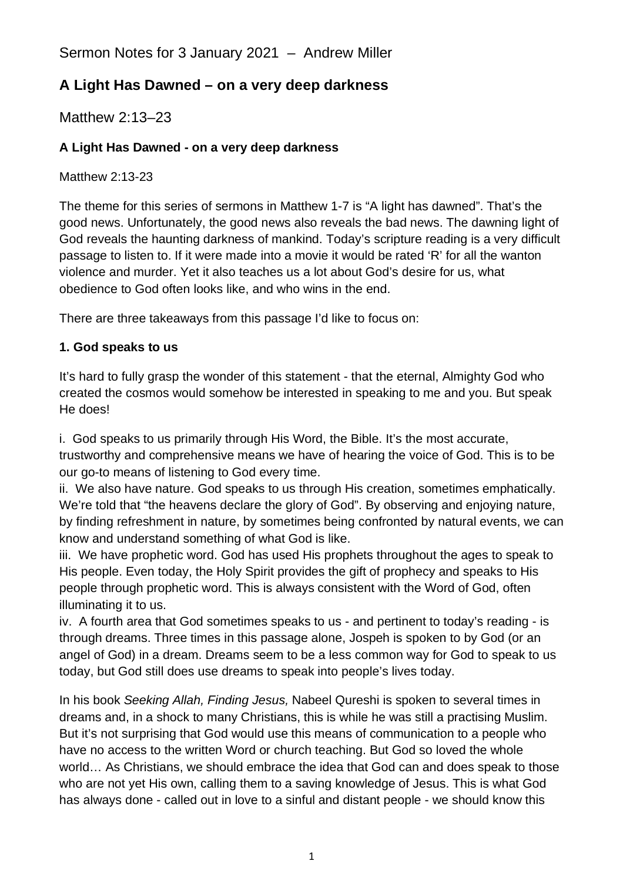Sermon Notes for 3 January 2021 – Andrew Miller

# **A Light Has Dawned – on a very deep darkness**

Matthew 2:13–23

## **A Light Has Dawned - on a very deep darkness**

Matthew 2:13-23

The theme for this series of sermons in Matthew 1-7 is "A light has dawned". That's the good news. Unfortunately, the good news also reveals the bad news. The dawning light of God reveals the haunting darkness of mankind. Today's scripture reading is a very difficult passage to listen to. If it were made into a movie it would be rated 'R' for all the wanton violence and murder. Yet it also teaches us a lot about God's desire for us, what obedience to God often looks like, and who wins in the end.

There are three takeaways from this passage I'd like to focus on:

### **1. God speaks to us**

It's hard to fully grasp the wonder of this statement - that the eternal, Almighty God who created the cosmos would somehow be interested in speaking to me and you. But speak He does!

i. God speaks to us primarily through His Word, the Bible. It's the most accurate, trustworthy and comprehensive means we have of hearing the voice of God. This is to be our go-to means of listening to God every time.

ii. We also have nature. God speaks to us through His creation, sometimes emphatically. We're told that "the heavens declare the glory of God". By observing and enjoying nature, by finding refreshment in nature, by sometimes being confronted by natural events, we can know and understand something of what God is like.

iii. We have prophetic word. God has used His prophets throughout the ages to speak to His people. Even today, the Holy Spirit provides the gift of prophecy and speaks to His people through prophetic word. This is always consistent with the Word of God, often illuminating it to us.

iv. A fourth area that God sometimes speaks to us - and pertinent to today's reading - is through dreams. Three times in this passage alone, Jospeh is spoken to by God (or an angel of God) in a dream. Dreams seem to be a less common way for God to speak to us today, but God still does use dreams to speak into people's lives today.

In his book *Seeking Allah, Finding Jesus,* Nabeel Qureshi is spoken to several times in dreams and, in a shock to many Christians, this is while he was still a practising Muslim. But it's not surprising that God would use this means of communication to a people who have no access to the written Word or church teaching. But God so loved the whole world… As Christians, we should embrace the idea that God can and does speak to those who are not yet His own, calling them to a saving knowledge of Jesus. This is what God has always done - called out in love to a sinful and distant people - we should know this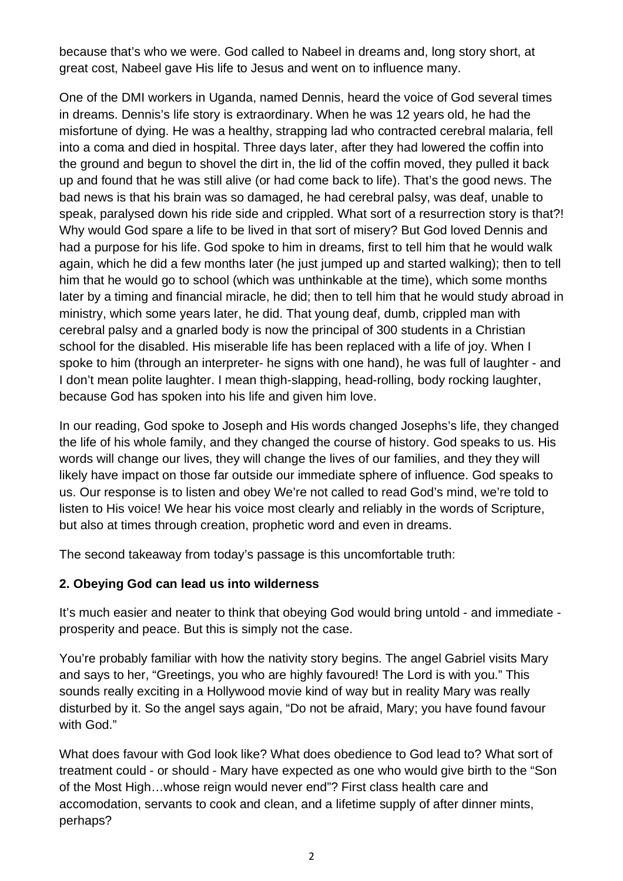because that's who we were. God called to Nabeel in dreams and, long story short, at great cost, Nabeel gave His life to Jesus and went on to influence many.

One of the DMI workers in Uganda, named Dennis, heard the voice of God several times in dreams. Dennis's life story is extraordinary. When he was 12 years old, he had the misfortune of dying. He was a healthy, strapping lad who contracted cerebral malaria, fell into a coma and died in hospital. Three days later, after they had lowered the coffin into the ground and begun to shovel the dirt in, the lid of the coffin moved, they pulled it back up and found that he was still alive (or had come back to life). That's the good news. The bad news is that his brain was so damaged, he had cerebral palsy, was deaf, unable to speak, paralysed down his ride side and crippled. What sort of a resurrection story is that?! Why would God spare a life to be lived in that sort of misery? But God loved Dennis and had a purpose for his life. God spoke to him in dreams, first to tell him that he would walk again, which he did a few months later (he just jumped up and started walking); then to tell him that he would go to school (which was unthinkable at the time), which some months later by a timing and financial miracle, he did; then to tell him that he would study abroad in ministry, which some years later, he did. That young deaf, dumb, crippled man with cerebral palsy and a gnarled body is now the principal of 300 students in a Christian school for the disabled. His miserable life has been replaced with a life of joy. When I spoke to him (through an interpreter- he signs with one hand), he was full of laughter - and I don't mean polite laughter. I mean thigh-slapping, head-rolling, body rocking laughter, because God has spoken into his life and given him love.

In our reading, God spoke to Joseph and His words changed Josephs's life, they changed the life of his whole family, and they changed the course of history. God speaks to us. His words will change our lives, they will change the lives of our families, and they they will likely have impact on those far outside our immediate sphere of influence. God speaks to us. Our response is to listen and obey We're not called to read God's mind, we're told to listen to His voice! We hear his voice most clearly and reliably in the words of Scripture, but also at times through creation, prophetic word and even in dreams.

The second takeaway from today's passage is this uncomfortable truth:

### **2. Obeying God can lead us into wilderness**

It's much easier and neater to think that obeying God would bring untold - and immediate prosperity and peace. But this is simply not the case.

You're probably familiar with how the nativity story begins. The angel Gabriel visits Mary and says to her, "Greetings, you who are highly favoured! The Lord is with you." This sounds really exciting in a Hollywood movie kind of way but in reality Mary was really disturbed by it. So the angel says again, "Do not be afraid, Mary; you have found favour with God."

What does favour with God look like? What does obedience to God lead to? What sort of treatment could - or should - Mary have expected as one who would give birth to the "Son of the Most High…whose reign would never end"? First class health care and accomodation, servants to cook and clean, and a lifetime supply of after dinner mints, perhaps?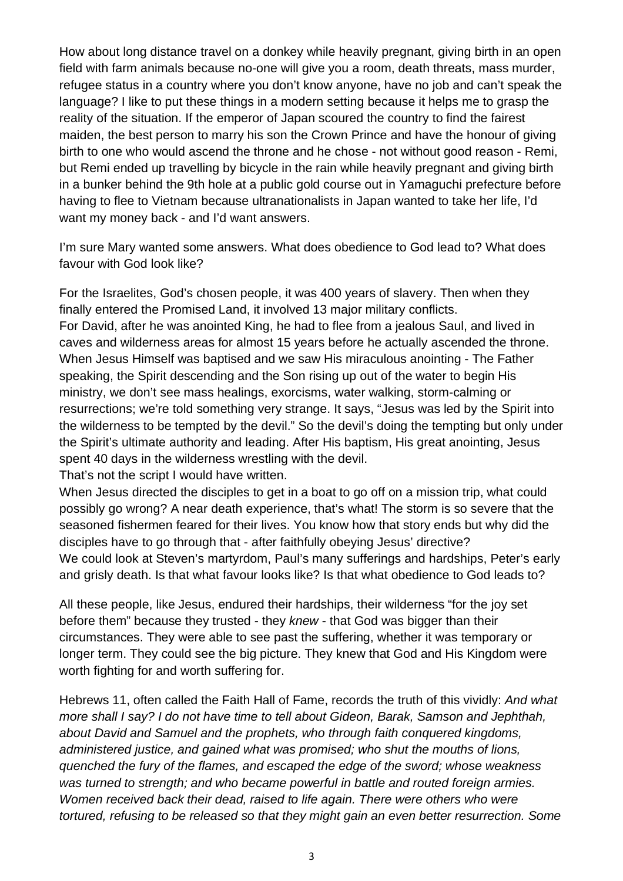How about long distance travel on a donkey while heavily pregnant, giving birth in an open field with farm animals because no-one will give you a room, death threats, mass murder, refugee status in a country where you don't know anyone, have no job and can't speak the language? I like to put these things in a modern setting because it helps me to grasp the reality of the situation. If the emperor of Japan scoured the country to find the fairest maiden, the best person to marry his son the Crown Prince and have the honour of giving birth to one who would ascend the throne and he chose - not without good reason - Remi, but Remi ended up travelling by bicycle in the rain while heavily pregnant and giving birth in a bunker behind the 9th hole at a public gold course out in Yamaguchi prefecture before having to flee to Vietnam because ultranationalists in Japan wanted to take her life, I'd want my money back - and I'd want answers.

I'm sure Mary wanted some answers. What does obedience to God lead to? What does favour with God look like?

For the Israelites, God's chosen people, it was 400 years of slavery. Then when they finally entered the Promised Land, it involved 13 major military conflicts. For David, after he was anointed King, he had to flee from a jealous Saul, and lived in caves and wilderness areas for almost 15 years before he actually ascended the throne. When Jesus Himself was baptised and we saw His miraculous anointing - The Father speaking, the Spirit descending and the Son rising up out of the water to begin His ministry, we don't see mass healings, exorcisms, water walking, storm-calming or resurrections; we're told something very strange. It says, "Jesus was led by the Spirit into the wilderness to be tempted by the devil." So the devil's doing the tempting but only under the Spirit's ultimate authority and leading. After His baptism, His great anointing, Jesus spent 40 days in the wilderness wrestling with the devil.

That's not the script I would have written.

When Jesus directed the disciples to get in a boat to go off on a mission trip, what could possibly go wrong? A near death experience, that's what! The storm is so severe that the seasoned fishermen feared for their lives. You know how that story ends but why did the disciples have to go through that - after faithfully obeying Jesus' directive? We could look at Steven's martyrdom, Paul's many sufferings and hardships, Peter's early and grisly death. Is that what favour looks like? Is that what obedience to God leads to?

All these people, like Jesus, endured their hardships, their wilderness "for the joy set before them" because they trusted - they *knew* - that God was bigger than their circumstances. They were able to see past the suffering, whether it was temporary or longer term. They could see the big picture. They knew that God and His Kingdom were worth fighting for and worth suffering for.

Hebrews 11, often called the Faith Hall of Fame, records the truth of this vividly: *And what more shall I say? I do not have time to tell about Gideon, Barak, Samson and Jephthah, about David and Samuel and the prophets, who through faith conquered kingdoms, administered justice, and gained what was promised; who shut the mouths of lions, quenched the fury of the flames, and escaped the edge of the sword; whose weakness was turned to strength; and who became powerful in battle and routed foreign armies. Women received back their dead, raised to life again. There were others who were tortured, refusing to be released so that they might gain an even better resurrection. Some*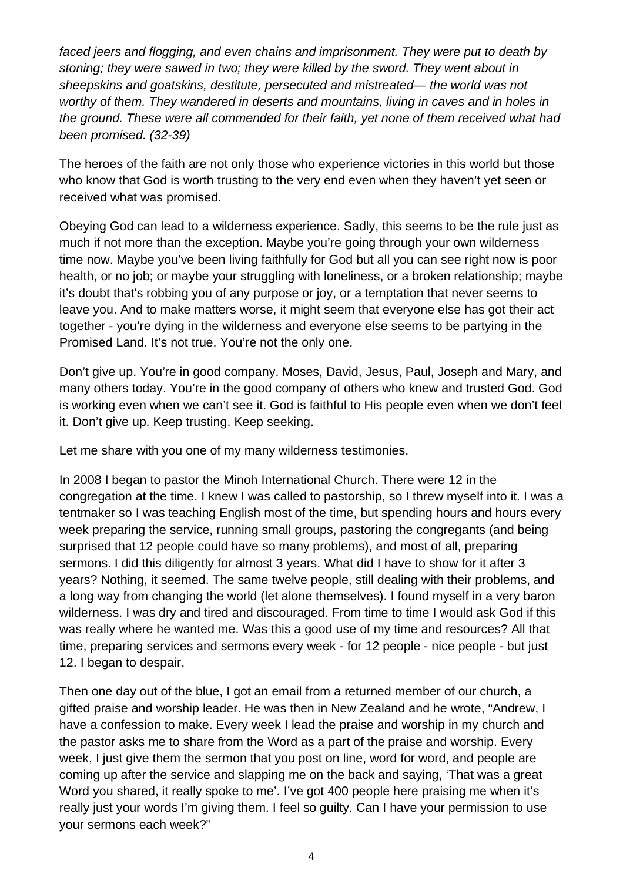*faced jeers and flogging, and even chains and imprisonment. They were put to death by stoning; they were sawed in two; they were killed by the sword. They went about in sheepskins and goatskins, destitute, persecuted and mistreated— the world was not worthy of them. They wandered in deserts and mountains, living in caves and in holes in the ground. These were all commended for their faith, yet none of them received what had been promised. (32-39)* 

The heroes of the faith are not only those who experience victories in this world but those who know that God is worth trusting to the very end even when they haven't yet seen or received what was promised.

Obeying God can lead to a wilderness experience. Sadly, this seems to be the rule just as much if not more than the exception. Maybe you're going through your own wilderness time now. Maybe you've been living faithfully for God but all you can see right now is poor health, or no job; or maybe your struggling with loneliness, or a broken relationship; maybe it's doubt that's robbing you of any purpose or joy, or a temptation that never seems to leave you. And to make matters worse, it might seem that everyone else has got their act together - you're dying in the wilderness and everyone else seems to be partying in the Promised Land. It's not true. You're not the only one.

Don't give up. You're in good company. Moses, David, Jesus, Paul, Joseph and Mary, and many others today. You're in the good company of others who knew and trusted God. God is working even when we can't see it. God is faithful to His people even when we don't feel it. Don't give up. Keep trusting. Keep seeking.

Let me share with you one of my many wilderness testimonies.

In 2008 I began to pastor the Minoh International Church. There were 12 in the congregation at the time. I knew I was called to pastorship, so I threw myself into it. I was a tentmaker so I was teaching English most of the time, but spending hours and hours every week preparing the service, running small groups, pastoring the congregants (and being surprised that 12 people could have so many problems), and most of all, preparing sermons. I did this diligently for almost 3 years. What did I have to show for it after 3 years? Nothing, it seemed. The same twelve people, still dealing with their problems, and a long way from changing the world (let alone themselves). I found myself in a very baron wilderness. I was dry and tired and discouraged. From time to time I would ask God if this was really where he wanted me. Was this a good use of my time and resources? All that time, preparing services and sermons every week - for 12 people - nice people - but just 12. I began to despair.

Then one day out of the blue, I got an email from a returned member of our church, a gifted praise and worship leader. He was then in New Zealand and he wrote, "Andrew, I have a confession to make. Every week I lead the praise and worship in my church and the pastor asks me to share from the Word as a part of the praise and worship. Every week, I just give them the sermon that you post on line, word for word, and people are coming up after the service and slapping me on the back and saying, 'That was a great Word you shared, it really spoke to me'. I've got 400 people here praising me when it's really just your words I'm giving them. I feel so guilty. Can I have your permission to use your sermons each week?"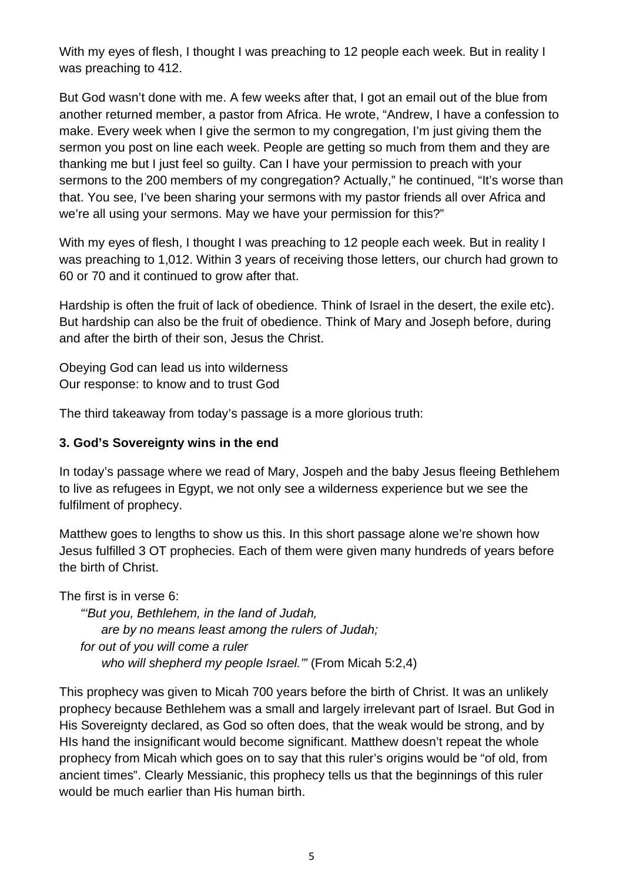With my eyes of flesh, I thought I was preaching to 12 people each week. But in reality I was preaching to 412.

But God wasn't done with me. A few weeks after that, I got an email out of the blue from another returned member, a pastor from Africa. He wrote, "Andrew, I have a confession to make. Every week when I give the sermon to my congregation, I'm just giving them the sermon you post on line each week. People are getting so much from them and they are thanking me but I just feel so guilty. Can I have your permission to preach with your sermons to the 200 members of my congregation? Actually," he continued, "It's worse than that. You see, I've been sharing your sermons with my pastor friends all over Africa and we're all using your sermons. May we have your permission for this?"

With my eyes of flesh, I thought I was preaching to 12 people each week. But in reality I was preaching to 1,012. Within 3 years of receiving those letters, our church had grown to 60 or 70 and it continued to grow after that.

Hardship is often the fruit of lack of obedience. Think of Israel in the desert, the exile etc). But hardship can also be the fruit of obedience. Think of Mary and Joseph before, during and after the birth of their son, Jesus the Christ.

Obeying God can lead us into wilderness Our response: to know and to trust God

The third takeaway from today's passage is a more glorious truth:

#### **3. God's Sovereignty wins in the end**

In today's passage where we read of Mary, Jospeh and the baby Jesus fleeing Bethlehem to live as refugees in Egypt, we not only see a wilderness experience but we see the fulfilment of prophecy.

Matthew goes to lengths to show us this. In this short passage alone we're shown how Jesus fulfilled 3 OT prophecies. Each of them were given many hundreds of years before the birth of Christ.

The first is in verse 6:

 *"'But you, Bethlehem, in the land of Judah, are by no means least among the rulers of Judah; for out of you will come a ruler who will shepherd my people Israel.'"* (From Micah 5:2,4)

This prophecy was given to Micah 700 years before the birth of Christ. It was an unlikely prophecy because Bethlehem was a small and largely irrelevant part of Israel. But God in His Sovereignty declared, as God so often does, that the weak would be strong, and by HIs hand the insignificant would become significant. Matthew doesn't repeat the whole prophecy from Micah which goes on to say that this ruler's origins would be "of old, from ancient times". Clearly Messianic, this prophecy tells us that the beginnings of this ruler would be much earlier than His human birth.